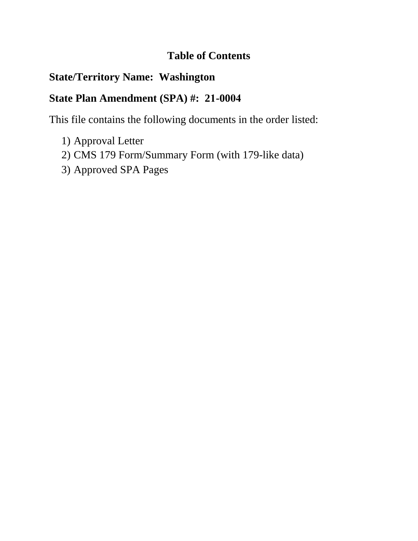# **Table of Contents**

# **State/Territory Name: Washington**

# **State Plan Amendment (SPA) #: 21-0004**

This file contains the following documents in the order listed:

- 1) Approval Letter
- 2) CMS 179 Form/Summary Form (with 179-like data)
- 3) Approved SPA Pages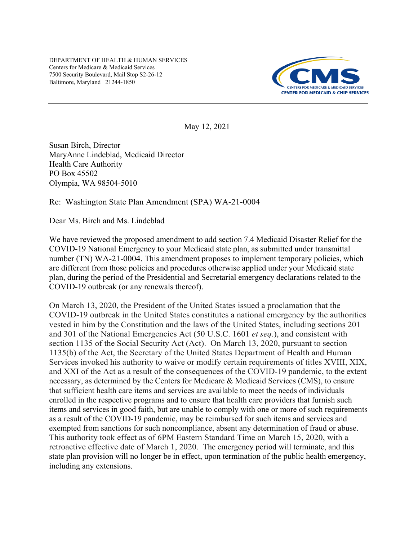DEPARTMENT OF HEALTH & HUMAN SERVICES Centers for Medicare & Medicaid Services 7500 Security Boulevard, Mail Stop S2-26-12 Baltimore, Maryland 21244-1850



May 12, 2021

Susan Birch, Director MaryAnne Lindeblad, Medicaid Director Health Care Authority PO Box 45502 Olympia, WA 98504-5010

Re: Washington State Plan Amendment (SPA) WA-21-0004

Dear Ms. Birch and Ms. Lindeblad

We have reviewed the proposed amendment to add section 7.4 Medicaid Disaster Relief for the COVID-19 National Emergency to your Medicaid state plan, as submitted under transmittal number (TN) WA-21-0004. This amendment proposes to implement temporary policies, which are different from those policies and procedures otherwise applied under your Medicaid state plan, during the period of the Presidential and Secretarial emergency declarations related to the COVID-19 outbreak (or any renewals thereof).

On March 13, 2020, the President of the United States issued a proclamation that the COVID-19 outbreak in the United States constitutes a national emergency by the authorities vested in him by the Constitution and the laws of the United States, including sections 201 and 301 of the National Emergencies Act (50 U.S.C. 1601 *et seq*.), and consistent with section 1135 of the Social Security Act (Act). On March 13, 2020, pursuant to section 1135(b) of the Act, the Secretary of the United States Department of Health and Human Services invoked his authority to waive or modify certain requirements of titles XVIII, XIX, and XXI of the Act as a result of the consequences of the COVID-19 pandemic, to the extent necessary, as determined by the Centers for Medicare & Medicaid Services (CMS), to ensure that sufficient health care items and services are available to meet the needs of individuals enrolled in the respective programs and to ensure that health care providers that furnish such items and services in good faith, but are unable to comply with one or more of such requirements as a result of the COVID-19 pandemic, may be reimbursed for such items and services and exempted from sanctions for such noncompliance, absent any determination of fraud or abuse. This authority took effect as of 6PM Eastern Standard Time on March 15, 2020, with a retroactive effective date of March 1, 2020. The emergency period will terminate, and this state plan provision will no longer be in effect, upon termination of the public health emergency, including any extensions.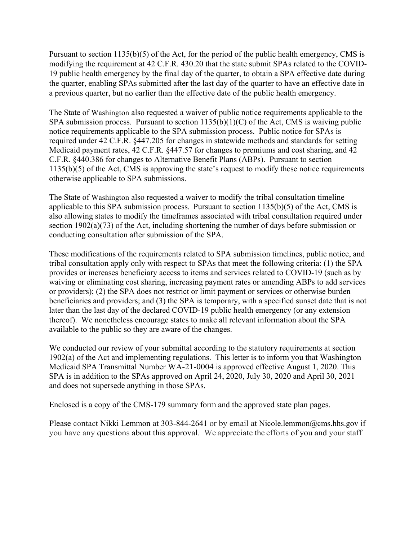Pursuant to section 1135(b)(5) of the Act, for the period of the public health emergency, CMS is modifying the requirement at 42 C.F.R. 430.20 that the state submit SPAs related to the COVID-19 public health emergency by the final day of the quarter, to obtain a SPA effective date during the quarter, enabling SPAs submitted after the last day of the quarter to have an effective date in a previous quarter, but no earlier than the effective date of the public health emergency.

The State of Washington also requested a waiver of public notice requirements applicable to the SPA submission process. Pursuant to section  $1135(b)(1)(C)$  of the Act, CMS is waiving public notice requirements applicable to the SPA submission process. Public notice for SPAs is required under 42 C.F.R. §447.205 for changes in statewide methods and standards for setting Medicaid payment rates, 42 C.F.R. §447.57 for changes to premiums and cost sharing, and 42 C.F.R. §440.386 for changes to Alternative Benefit Plans (ABPs). Pursuant to section 1135(b)(5) of the Act, CMS is approving the state's request to modify these notice requirements otherwise applicable to SPA submissions.

The State of Washington also requested a waiver to modify the tribal consultation timeline applicable to this SPA submission process. Pursuant to section 1135(b)(5) of the Act, CMS is also allowing states to modify the timeframes associated with tribal consultation required under section 1902(a)(73) of the Act, including shortening the number of days before submission or conducting consultation after submission of the SPA.

These modifications of the requirements related to SPA submission timelines, public notice, and tribal consultation apply only with respect to SPAs that meet the following criteria: (1) the SPA provides or increases beneficiary access to items and services related to COVID-19 (such as by waiving or eliminating cost sharing, increasing payment rates or amending ABPs to add services or providers); (2) the SPA does not restrict or limit payment or services or otherwise burden beneficiaries and providers; and (3) the SPA is temporary, with a specified sunset date that is not later than the last day of the declared COVID-19 public health emergency (or any extension thereof). We nonetheless encourage states to make all relevant information about the SPA available to the public so they are aware of the changes.

We conducted our review of your submittal according to the statutory requirements at section 1902(a) of the Act and implementing regulations. This letter is to inform you that Washington Medicaid SPA Transmittal Number WA-21-0004 is approved effective August 1, 2020. This SPA is in addition to the SPAs approved on April 24, 2020, July 30, 2020 and April 30, 2021 and does not supersede anything in those SPAs.

Enclosed is a copy of the CMS-179 summary form and the approved state plan pages.

Please contact Nikki Lemmon at 303-844-2641 or by email at Nicole.lemmon@cms.hhs.gov if you have any questions about this approval. We appreciate the efforts of you and your staff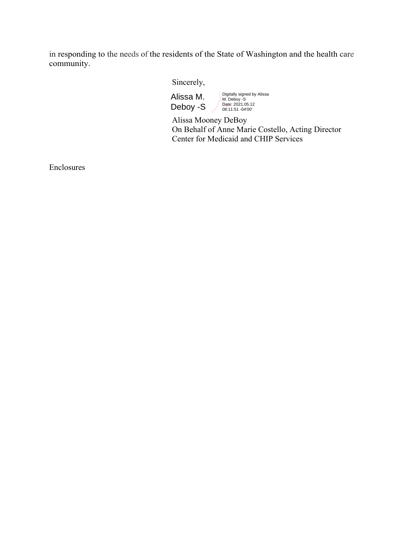in responding to the needs of the residents of the State of Washington and the health care community.

Sincerely,

Alissa M. Deboy -S

Digitally signed by Alissa M. Deboy -S Date: 2021.05.12 08:11:51 -04'00'

 Alissa Mooney DeBoy On Behalf of Anne Marie Costello, Acting Director Center for Medicaid and CHIP Services

Enclosures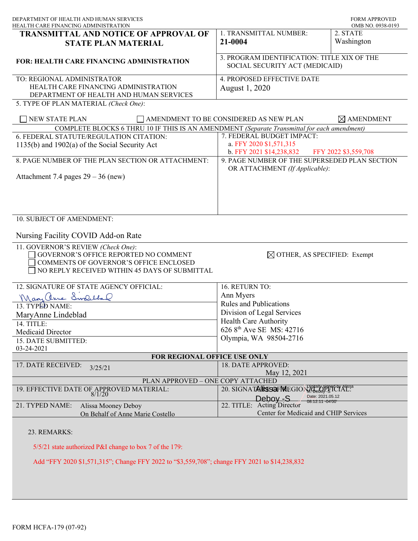| DEPARTMENT OF HEALTH AND HUMAN SERVICES<br>HEALTH CARE FINANCING ADMINISTRATION                                                                                        |                                                                                         | <b>FORM APPROVED</b><br>OMB NO. 0938-0193 |
|------------------------------------------------------------------------------------------------------------------------------------------------------------------------|-----------------------------------------------------------------------------------------|-------------------------------------------|
| <b>TRANSMITTAL AND NOTICE OF APPROVAL OF</b>                                                                                                                           | 1. TRANSMITTAL NUMBER:                                                                  | 2. STATE                                  |
| <b>STATE PLAN MATERIAL</b>                                                                                                                                             | 21-0004                                                                                 | Washington                                |
| <b>FOR: HEALTH CARE FINANCING ADMINISTRATION</b>                                                                                                                       | 3. PROGRAM IDENTIFICATION: TITLE XIX OF THE<br>SOCIAL SECURITY ACT (MEDICAID)           |                                           |
| TO: REGIONAL ADMINISTRATOR<br>HEALTH CARE FINANCING ADMINISTRATION<br>DEPARTMENT OF HEALTH AND HUMAN SERVICES                                                          | 4. PROPOSED EFFECTIVE DATE<br>August 1, 2020                                            |                                           |
| 5. TYPE OF PLAN MATERIAL (Check One):                                                                                                                                  |                                                                                         |                                           |
| NEW STATE PLAN                                                                                                                                                         | AMENDMENT TO BE CONSIDERED AS NEW PLAN                                                  | $\boxtimes$ AMENDMENT                     |
| COMPLETE BLOCKS 6 THRU 10 IF THIS IS AN AMENDMENT (Separate Transmittal for each amendment)                                                                            |                                                                                         |                                           |
| 6. FEDERAL STATUTE/REGULATION CITATION:                                                                                                                                | 7. FEDERAL BUDGET IMPACT:                                                               |                                           |
| 1135(b) and 1902(a) of the Social Security Act                                                                                                                         | a. FFY 2020 \$1,571,315<br>b. FFY 2021 \$14,238,832                                     | FFY 2022 \$3,559,708                      |
| 8. PAGE NUMBER OF THE PLAN SECTION OR ATTACHMENT:                                                                                                                      | 9. PAGE NUMBER OF THE SUPERSEDED PLAN SECTION<br>OR ATTACHMENT (If Applicable):         |                                           |
| Attachment 7.4 pages $29 - 36$ (new)                                                                                                                                   |                                                                                         |                                           |
|                                                                                                                                                                        |                                                                                         |                                           |
| 10. SUBJECT OF AMENDMENT:                                                                                                                                              |                                                                                         |                                           |
| Nursing Facility COVID Add-on Rate                                                                                                                                     |                                                                                         |                                           |
| 11. GOVERNOR'S REVIEW (Check One):<br>GOVERNOR'S OFFICE REPORTED NO COMMENT<br>COMMENTS OF GOVERNOR'S OFFICE ENCLOSED<br>NO REPLY RECEIVED WITHIN 45 DAYS OF SUBMITTAL | $\boxtimes$ OTHER, AS SPECIFIED: Exempt                                                 |                                           |
| 12. SIGNATURE OF STATE AGENCY OFFICIAL:                                                                                                                                | 16. RETURN TO:                                                                          |                                           |
| ManyChine Swelchal                                                                                                                                                     | Ann Myers                                                                               |                                           |
| 13. TYPED NAME:                                                                                                                                                        | <b>Rules and Publications</b>                                                           |                                           |
| MaryAnne Lindeblad                                                                                                                                                     | Division of Legal Services                                                              |                                           |
| 14. TITLE:                                                                                                                                                             | Health Care Authority                                                                   |                                           |
| Medicaid Director                                                                                                                                                      | 626 8 <sup>th</sup> Ave SE MS: 42716                                                    |                                           |
| 15. DATE SUBMITTED:                                                                                                                                                    | Olympia, WA 98504-2716                                                                  |                                           |
| 03-24-2021                                                                                                                                                             |                                                                                         |                                           |
| FOR REGIONAL OFFICE USE ONLY                                                                                                                                           |                                                                                         |                                           |
| 17. DATE RECEIVED:<br>3/25/21                                                                                                                                          | 18. DATE APPROVED:<br>May 12, 2021                                                      |                                           |
| PLAN APPROVED - ONE COPY ATTACHED                                                                                                                                      |                                                                                         |                                           |
| 19. EFFECTIVE DATE OF APPROVED MATERIAL:                                                                                                                               | 20. SIGNATALRESCH MEGION ABOUT SIGNALLES                                                |                                           |
| 8/1/20                                                                                                                                                                 | Date: 2021.05.12<br>Deboy -S                                                            |                                           |
| 21. TYPED NAME:<br>Alissa Mooney Deboy<br>On Behalf of Anne Marie Costello                                                                                             | 08:12:11 -04'00'<br>22. TITLE: Acting Director<br>Center for Medicaid and CHIP Services |                                           |
| 23. REMARKS:                                                                                                                                                           |                                                                                         |                                           |
| 5/5/21 state authorized P&I change to box 7 of the 179:                                                                                                                |                                                                                         |                                           |
| Add "FFY 2020 \$1,571,315"; Change FFY 2022 to "\$3,559,708"; change FFY 2021 to \$14,238,832                                                                          |                                                                                         |                                           |
|                                                                                                                                                                        |                                                                                         |                                           |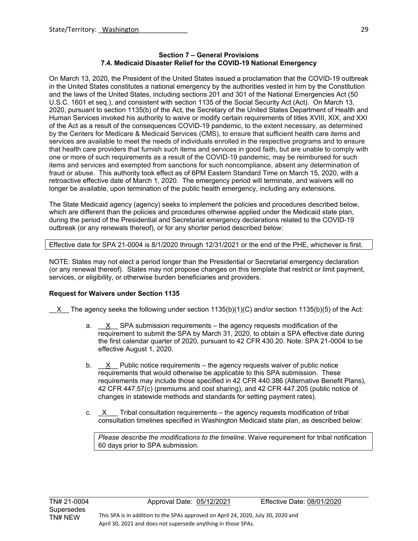#### **Section 7 – General Provisions 7.4. Medicaid Disaster Relief for the COVID-19 National Emergency**

On March 13, 2020, the President of the United States issued a proclamation that the COVID-19 outbreak in the United States constitutes a national emergency by the authorities vested in him by the Constitution and the laws of the United States, including sections 201 and 301 of the National Emergencies Act (50 U.S.C. 1601 et seq.), and consistent with section 1135 of the Social Security Act (Act). On March 13, 2020, pursuant to section 1135(b) of the Act, the Secretary of the United States Department of Health and Human Services invoked his authority to waive or modify certain requirements of titles XVIII, XIX, and XXI of the Act as a result of the consequences COVID-19 pandemic, to the extent necessary, as determined by the Centers for Medicare & Medicaid Services (CMS), to ensure that sufficient health care items and services are available to meet the needs of individuals enrolled in the respective programs and to ensure that health care providers that furnish such items and services in good faith, but are unable to comply with one or more of such requirements as a result of the COVID-19 pandemic, may be reimbursed for such items and services and exempted from sanctions for such noncompliance, absent any determination of fraud or abuse. This authority took effect as of 6PM Eastern Standard Time on March 15, 2020, with a retroactive effective date of March 1, 2020. The emergency period will terminate, and waivers will no longer be available, upon termination of the public health emergency, including any extensions.

The State Medicaid agency (agency) seeks to implement the policies and procedures described below, which are different than the policies and procedures otherwise applied under the Medicaid state plan, during the period of the Presidential and Secretarial emergency declarations related to the COVID-19 outbreak (or any renewals thereof), or for any shorter period described below:

## Effective date for SPA 21-0004 is 8/1/2020 through 12/31/2021 or the end of the PHE, whichever is first.

NOTE: States may not elect a period longer than the Presidential or Secretarial emergency declaration (or any renewal thereof). States may not propose changes on this template that restrict or limit payment, services, or eligibility, or otherwise burden beneficiaries and providers.

### **Request for Waivers under Section 1135**

 $X$  The agency seeks the following under section 1135(b)(1)(C) and/or section 1135(b)(5) of the Act:

- a.  $X$  SPA submission requirements the agency requests modification of the requirement to submit the SPA by March 31, 2020, to obtain a SPA effective date during the first calendar quarter of 2020, pursuant to 42 CFR 430.20. Note: SPA 21-0004 to be effective August 1, 2020.
- b.  $X$  Public notice requirements the agency requests waiver of public notice requirements that would otherwise be applicable to this SPA submission. These requirements may include those specified in 42 CFR 440.386 (Alternative Benefit Plans), 42 CFR 447.57(c) (premiums and cost sharing), and 42 CFR 447.205 (public notice of changes in statewide methods and standards for setting payment rates).
- c.  $X$  Tribal consultation requirements the agency requests modification of tribal consultation timelines specified in Washington Medicaid state plan, as described below:

*Please describe the modifications to the timeline*. Waive requirement for tribal notification 60 days prior to SPA submission.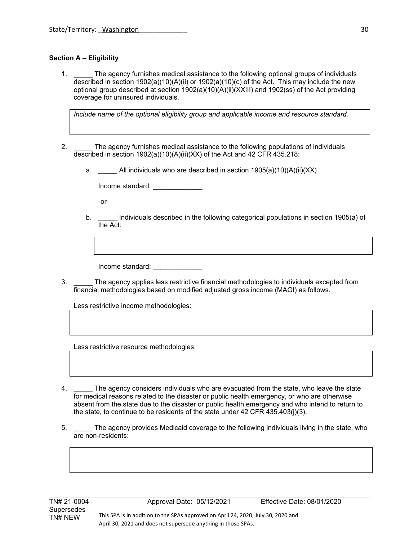## **Section A – Eligibility**

1. The agency furnishes medical assistance to the following optional groups of individuals described in section 1902(a)(10)(A)(ii) or 1902(a)(10)(c) of the Act. This may include the new optional group described at section 1902(a)(10)(A)(ii)(XXIII) and 1902(ss) of the Act providing coverage for uninsured individuals.

*Include name of the optional eligibility group and applicable income and resource standard.* 

- 2. \_\_\_\_\_\_ The agency furnishes medical assistance to the following populations of individuals described in section 1902(a)(10)(A)(ii)(XX) of the Act and 42 CFR 435.218:
	- a. All individuals who are described in section  $1905(a)(10)(A)(ii)(XX)$

Income standard: \_\_\_\_\_\_\_\_\_\_\_\_\_

-or-

b. \_\_\_\_\_ Individuals described in the following categorical populations in section 1905(a) of the Act:

Income standard: \_\_\_\_\_\_\_\_\_\_\_\_\_

3. \_\_\_\_\_ The agency applies less restrictive financial methodologies to individuals excepted from financial methodologies based on modified adjusted gross income (MAGI) as follows.

Less restrictive income methodologies:

Less restrictive resource methodologies:

- 4. \_\_\_\_\_ The agency considers individuals who are evacuated from the state, who leave the state for medical reasons related to the disaster or public health emergency, or who are otherwise absent from the state due to the disaster or public health emergency and who intend to return to the state, to continue to be residents of the state under 42 CFR 435.403(j)(3).
- 5. \_\_\_\_\_ The agency provides Medicaid coverage to the following individuals living in the state, who are non-residents: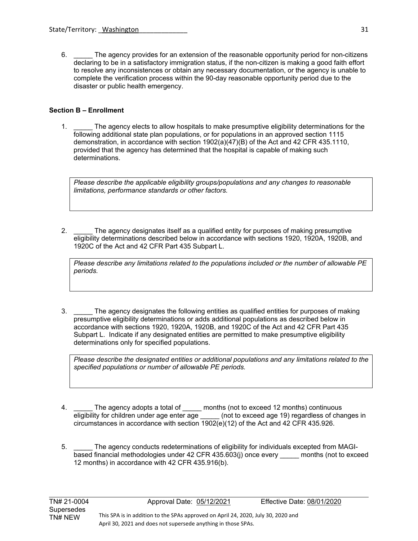6. The agency provides for an extension of the reasonable opportunity period for non-citizens declaring to be in a satisfactory immigration status, if the non-citizen is making a good faith effort to resolve any inconsistences or obtain any necessary documentation, or the agency is unable to complete the verification process within the 90-day reasonable opportunity period due to the disaster or public health emergency.

## **Section B – Enrollment**

 $\ddot{\phantom{a}}$ 

1. \_\_\_\_\_ The agency elects to allow hospitals to make presumptive eligibility determinations for the following additional state plan populations, or for populations in an approved section 1115 demonstration, in accordance with section 1902(a)(47)(B) of the Act and 42 CFR 435.1110, provided that the agency has determined that the hospital is capable of making such determinations.

*Please describe the applicable eligibility groups/populations and any changes to reasonable limitations, performance standards or other factors.* 

2. \_\_\_\_\_ The agency designates itself as a qualified entity for purposes of making presumptive eligibility determinations described below in accordance with sections 1920, 1920A, 1920B, and 1920C of the Act and 42 CFR Part 435 Subpart L.

*Please describe any limitations related to the populations included or the number of allowable PE periods.*

3. \_\_\_\_\_ The agency designates the following entities as qualified entities for purposes of making presumptive eligibility determinations or adds additional populations as described below in accordance with sections 1920, 1920A, 1920B, and 1920C of the Act and 42 CFR Part 435 Subpart L. Indicate if any designated entities are permitted to make presumptive eligibility determinations only for specified populations.

*Please describe the designated entities or additional populations and any limitations related to the specified populations or number of allowable PE periods.*

- 4. \_\_\_\_\_ The agency adopts a total of \_\_\_\_\_ months (not to exceed 12 months) continuous eligibility for children under age enter age (not to exceed age 19) regardless of cha  $\Box$  (not to exceed age 19) regardless of changes in circumstances in accordance with section 1902(e)(12) of the Act and 42 CFR 435.926.
- 5. \_\_\_\_\_ The agency conducts redeterminations of eligibility for individuals excepted from MAGIbased financial methodologies under 42 CFR 435.603(j) once every \_\_\_\_\_ months (not to exceed 12 months) in accordance with 42 CFR 435.916(b).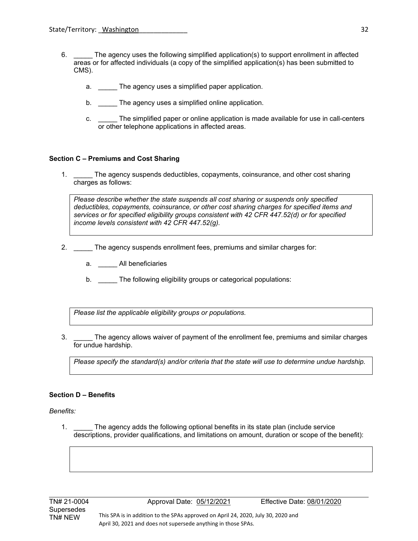- 6. \_\_\_\_\_ The agency uses the following simplified application(s) to support enrollment in affected areas or for affected individuals (a copy of the simplified application(s) has been submitted to CMS).
	- a. \_\_\_\_\_ The agency uses a simplified paper application.
	- b. \_\_\_\_\_ The agency uses a simplified online application.
	- c. \_\_\_\_\_ The simplified paper or online application is made available for use in call-centers or other telephone applications in affected areas.

#### **Section C – Premiums and Cost Sharing**

1. \_\_\_\_\_ The agency suspends deductibles, copayments, coinsurance, and other cost sharing charges as follows:

*Please describe whether the state suspends all cost sharing or suspends only specified deductibles, copayments, coinsurance, or other cost sharing charges for specified items and services or for specified eligibility groups consistent with 42 CFR 447.52(d) or for specified income levels consistent with 42 CFR 447.52(g).* 

- 2. \_\_\_\_\_ The agency suspends enrollment fees, premiums and similar charges for:
	- a. \_\_\_\_\_ All beneficiaries
	- b. The following eligibility groups or categorical populations:

*Please list the applicable eligibility groups or populations.* 

3. \_\_\_\_\_ The agency allows waiver of payment of the enrollment fee, premiums and similar charges for undue hardship.

*Please specify the standard(s) and/or criteria that the state will use to determine undue hardship.* 

#### **Section D – Benefits**

#### *Benefits:*

1. The agency adds the following optional benefits in its state plan (include service descriptions, provider qualifications, and limitations on amount, duration or scope of the benefit):

 $\ddot{\phantom{a}}$ 

TN# 21-0004 Approval Date: 05/12/2021 Effective Date: 08/01/2020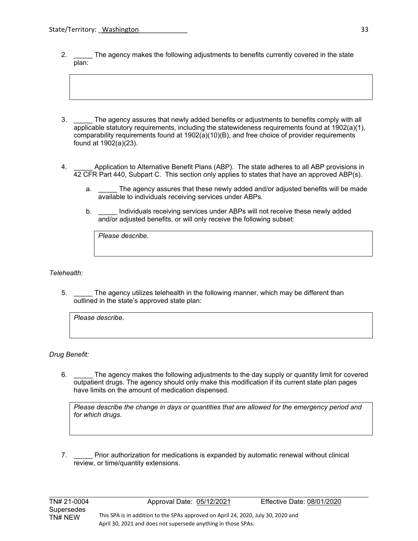- 2. \_\_\_\_\_\_ The agency makes the following adjustments to benefits currently covered in the state plan:
- 3. \_\_\_\_\_ The agency assures that newly added benefits or adjustments to benefits comply with all applicable statutory requirements, including the statewideness requirements found at 1902(a)(1), comparability requirements found at 1902(a)(10)(B), and free choice of provider requirements found at 1902(a)(23).
- 4. \_\_\_\_\_ Application to Alternative Benefit Plans (ABP). The state adheres to all ABP provisions in 42 CFR Part 440, Subpart C. This section only applies to states that have an approved ABP(s).
	- a. The agency assures that these newly added and/or adjusted benefits will be made available to individuals receiving services under ABPs.
	- b. \_\_\_\_\_ Individuals receiving services under ABPs will not receive these newly added and/or adjusted benefits, or will only receive the following subset:

*Please describe.* 

*Telehealth:*

5. The agency utilizes telehealth in the following manner, which may be different than outlined in the state's approved state plan:

*Please describe.* 

### *Drug Benefit:*

 $\ddot{\phantom{a}}$ 

6. \_\_\_\_\_ The agency makes the following adjustments to the day supply or quantity limit for covered outpatient drugs. The agency should only make this modification if its current state plan pages have limits on the amount of medication dispensed.

*Please describe the change in days or quantities that are allowed for the emergency period and for which drugs.* 

7. \_\_\_\_\_ Prior authorization for medications is expanded by automatic renewal without clinical review, or time/quantity extensions.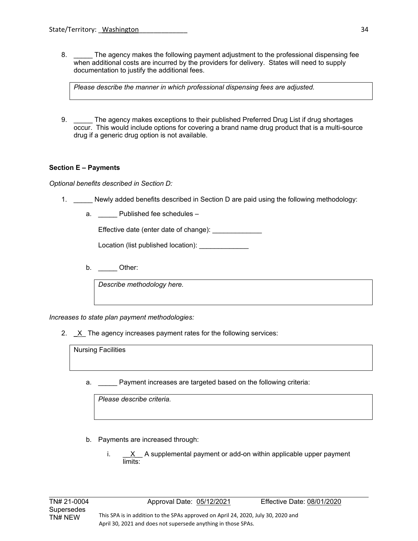8. \_\_\_\_\_\_ The agency makes the following payment adjustment to the professional dispensing fee when additional costs are incurred by the providers for delivery. States will need to supply documentation to justify the additional fees.

*Please describe the manner in which professional dispensing fees are adjusted.* 

9. \_\_\_\_\_ The agency makes exceptions to their published Preferred Drug List if drug shortages occur. This would include options for covering a brand name drug product that is a multi-source drug if a generic drug option is not available.

## **Section E – Payments**

*Optional benefits described in Section D:* 

- 1. \_\_\_\_\_ Newly added benefits described in Section D are paid using the following methodology:
	- a. **Dublished fee schedules**

Effective date (enter date of change): **Effective** date (enter date of change):

Location (list published location): \_\_\_\_\_\_\_\_\_\_\_\_\_

b. Other:

*Describe methodology here.* 

*Increases to state plan payment methodologies:* 

2. **\_**X\_ The agency increases payment rates for the following services:

Nursing Facilities

a. \_\_\_\_\_ Payment increases are targeted based on the following criteria:

*Please describe criteria.* 

- b. Payments are increased through:
	- i. \_\_<u>X</u>\_\_ A supplemental payment or add-on within applicable upper payment limits: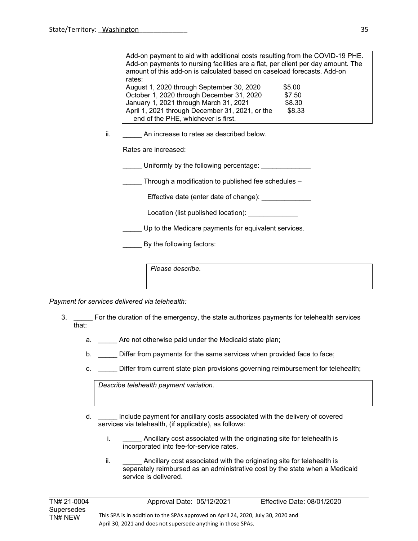| Add-on payment to aid with additional costs resulting from the COVID-19 PHE.     |        |  |
|----------------------------------------------------------------------------------|--------|--|
| Add-on payments to nursing facilities are a flat, per client per day amount. The |        |  |
| amount of this add-on is calculated based on caseload forecasts. Add-on          |        |  |
| rates:                                                                           |        |  |
| August 1, 2020 through September 30, 2020                                        | \$5.00 |  |
| October 1, 2020 through December 31, 2020                                        | \$7.50 |  |
| January 1, 2021 through March 31, 2021                                           | \$8.30 |  |
| April 1, 2021 through December 31, 2021, or the                                  | \$8.33 |  |
| end of the PHE, whichever is first.                                              |        |  |

ii. **An increase to rates as described below.** 

Rates are increased:

Uniformly by the following percentage:

Through a modification to published fee schedules –

Effective date (enter date of change): \_\_\_\_\_\_\_\_\_\_\_\_\_\_

Location (list published location):

Up to the Medicare payments for equivalent services.

External By the following factors:

*Please describe.* 

*Payment for services delivered via telehealth:*

- 3. \_\_\_\_\_ For the duration of the emergency, the state authorizes payments for telehealth services that:
	- a. \_\_\_\_\_ Are not otherwise paid under the Medicaid state plan;
	- b. **Differ from payments for the same services when provided face to face;**
	- c. \_\_\_\_\_ Differ from current state plan provisions governing reimbursement for telehealth;

*Describe telehealth payment variation.*

- d. \_\_\_\_\_ Include payment for ancillary costs associated with the delivery of covered services via telehealth, (if applicable), as follows:
	- i. \_\_\_\_\_\_\_\_ Ancillary cost associated with the originating site for telehealth is incorporated into fee-for-service rates.
	- ii. Ancillary cost associated with the originating site for telehealth is separately reimbursed as an administrative cost by the state when a Medicaid service is delivered.